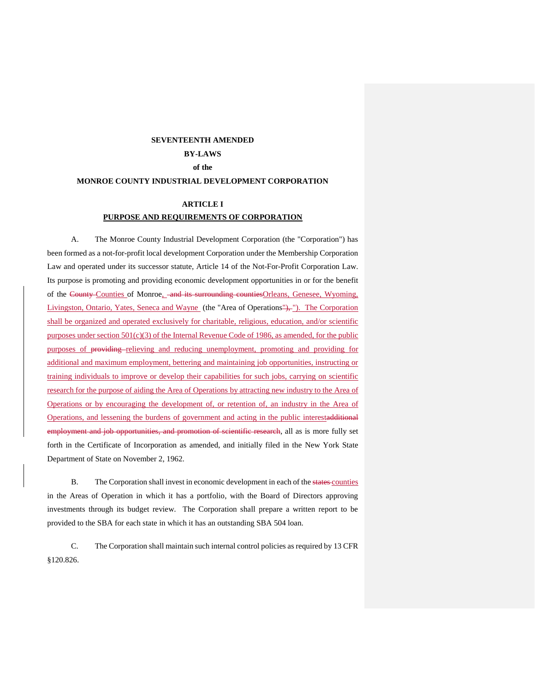## **SEVENTEENTH AMENDED**

# **BY-LAWS**

## **of the**

## **MONROE COUNTY INDUSTRIAL DEVELOPMENT CORPORATION**

## **ARTICLE I PURPOSE AND REQUIREMENTS OF CORPORATION**

A. The Monroe County Industrial Development Corporation (the "Corporation") has been formed as a not-for-profit local development Corporation under the Membership Corporation Law and operated under its successor statute, Article 14 of the Not-For-Profit Corporation Law. Its purpose is promoting and providing economic development opportunities in or for the benefit of the County Counties of Monroe, and its surrounding counties Orleans, Genesee, Wyoming, Livingston, Ontario, Yates, Seneca and Wayne (the "Area of Operations"), "). The Corporation shall be organized and operated exclusively for charitable, religious, education, and/or scientific purposes under section  $501(c)(3)$  of the Internal Revenue Code of 1986, as amended, for the public purposes of providing relieving and reducing unemployment, promoting and providing for additional and maximum employment, bettering and maintaining job opportunities, instructing or training individuals to improve or develop their capabilities for such jobs, carrying on scientific research for the purpose of aiding the Area of Operations by attracting new industry to the Area of Operations or by encouraging the development of, or retention of, an industry in the Area of Operations, and lessening the burdens of government and acting in the public interestadditional employment and job opportunities, and promotion of scientific research, all as is more fully set forth in the Certificate of Incorporation as amended, and initially filed in the New York State Department of State on November 2, 1962.

B. The Corporation shall invest in economic development in each of the states counties in the Areas of Operation in which it has a portfolio, with the Board of Directors approving investments through its budget review. The Corporation shall prepare a written report to be provided to the SBA for each state in which it has an outstanding SBA 504 loan.

C. The Corporation shall maintain such internal control policies as required by 13 CFR §120.826.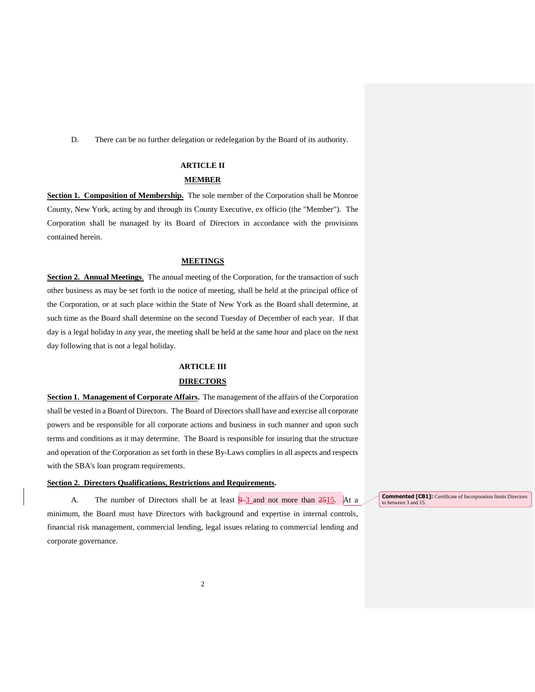D. There can be no further delegation or redelegation by the Board of its authority.

### **ARTICLE II**

#### **MEMBER**

**Section 1. Composition of Membership.** The sole member of the Corporation shall be Monroe County, New York, acting by and through its County Executive, ex officio (the "Member"). The Corporation shall be managed by its Board of Directors in accordance with the provisions contained herein.

#### **MEETINGS**

**Section 2. Annual Meetings**. The annual meeting of the Corporation, for the transaction of such other business as may be set forth in the notice of meeting, shall be held at the principal office of the Corporation, or at such place within the State of New York as the Board shall determine, at such time as the Board shall determine on the second Tuesday of December of each year. If that day is a legal holiday in any year, the meeting shall be held at the same hour and place on the next day following that is not a legal holiday.

#### **ARTICLE III**

#### **DIRECTORS**

**Section 1. Management of Corporate Affairs.** The management of the affairs of the Corporation shall be vested in a Board of Directors. The Board of Directors shall have and exercise all corporate powers and be responsible for all corporate actions and business in such manner and upon such terms and conditions as it may determine. The Board is responsible for insuring that the structure and operation of the Corporation as set forth in these By-Laws complies in all aspects and respects with the SBA's loan program requirements.

#### **Section 2. Directors Qualifications, Restrictions and Requirements.**

A. The number of Directors shall be at least  $\frac{9}{3}$  and not more than  $\frac{2515}{3}$ . At a minimum, the Board must have Directors with background and expertise in internal controls, financial risk management, commercial lending, legal issues relating to commercial lending and corporate governance.

**Commented [CB1]:** Certificate of Incorporation limits Directors to between 3 and 15.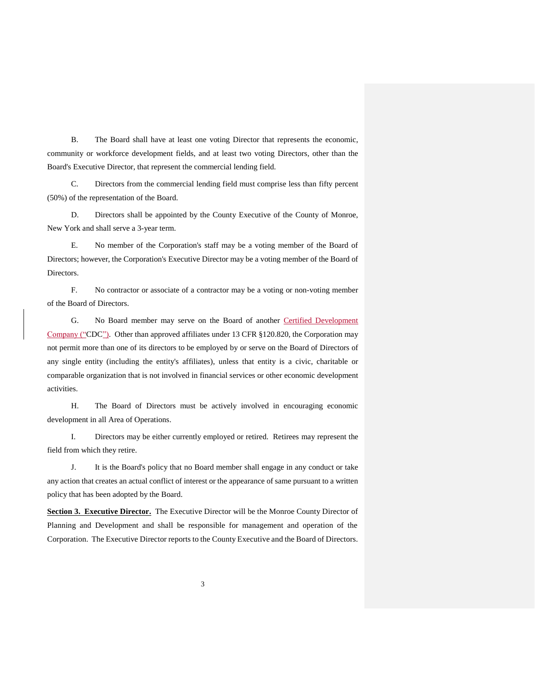B. The Board shall have at least one voting Director that represents the economic, community or workforce development fields, and at least two voting Directors, other than the Board's Executive Director, that represent the commercial lending field.

C. Directors from the commercial lending field must comprise less than fifty percent (50%) of the representation of the Board.

D. Directors shall be appointed by the County Executive of the County of Monroe, New York and shall serve a 3-year term.

E. No member of the Corporation's staff may be a voting member of the Board of Directors; however, the Corporation's Executive Director may be a voting member of the Board of Directors.

F. No contractor or associate of a contractor may be a voting or non-voting member of the Board of Directors.

G. No Board member may serve on the Board of another Certified Development Company ("CDC"). Other than approved affiliates under 13 CFR §120.820, the Corporation may not permit more than one of its directors to be employed by or serve on the Board of Directors of any single entity (including the entity's affiliates), unless that entity is a civic, charitable or comparable organization that is not involved in financial services or other economic development activities.

H. The Board of Directors must be actively involved in encouraging economic development in all Area of Operations.

I. Directors may be either currently employed or retired. Retirees may represent the field from which they retire.

J. It is the Board's policy that no Board member shall engage in any conduct or take any action that creates an actual conflict of interest or the appearance of same pursuant to a written policy that has been adopted by the Board.

**Section 3. Executive Director.** The Executive Director will be the Monroe County Director of Planning and Development and shall be responsible for management and operation of the Corporation. The Executive Director reports to the County Executive and the Board of Directors.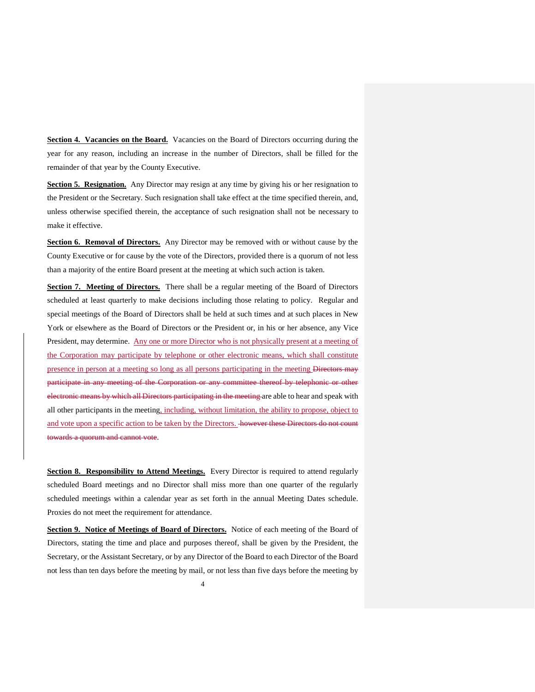**Section 4. Vacancies on the Board.** Vacancies on the Board of Directors occurring during the year for any reason, including an increase in the number of Directors, shall be filled for the remainder of that year by the County Executive.

**Section 5. Resignation.** Any Director may resign at any time by giving his or her resignation to the President or the Secretary. Such resignation shall take effect at the time specified therein, and, unless otherwise specified therein, the acceptance of such resignation shall not be necessary to make it effective.

Section 6. Removal of Directors. Any Director may be removed with or without cause by the County Executive or for cause by the vote of the Directors, provided there is a quorum of not less than a majority of the entire Board present at the meeting at which such action is taken.

**Section 7. Meeting of Directors.** There shall be a regular meeting of the Board of Directors scheduled at least quarterly to make decisions including those relating to policy. Regular and special meetings of the Board of Directors shall be held at such times and at such places in New York or elsewhere as the Board of Directors or the President or, in his or her absence, any Vice President, may determine. Any one or more Director who is not physically present at a meeting of the Corporation may participate by telephone or other electronic means, which shall constitute presence in person at a meeting so long as all persons participating in the meeting Directors may participate in any meeting of the Corporation or any committee thereof by telephonic or other electronic means by which all Directors participating in the meeting are able to hear and speak with all other participants in the meeting, including, without limitation, the ability to propose, object to and vote upon a specific action to be taken by the Directors. however these Directors do not count towards a quorum and cannot vote.

**Section 8. Responsibility to Attend Meetings.** Every Director is required to attend regularly scheduled Board meetings and no Director shall miss more than one quarter of the regularly scheduled meetings within a calendar year as set forth in the annual Meeting Dates schedule. Proxies do not meet the requirement for attendance.

**Section 9. Notice of Meetings of Board of Directors.** Notice of each meeting of the Board of Directors, stating the time and place and purposes thereof, shall be given by the President, the Secretary, or the Assistant Secretary, or by any Director of the Board to each Director of the Board not less than ten days before the meeting by mail, or not less than five days before the meeting by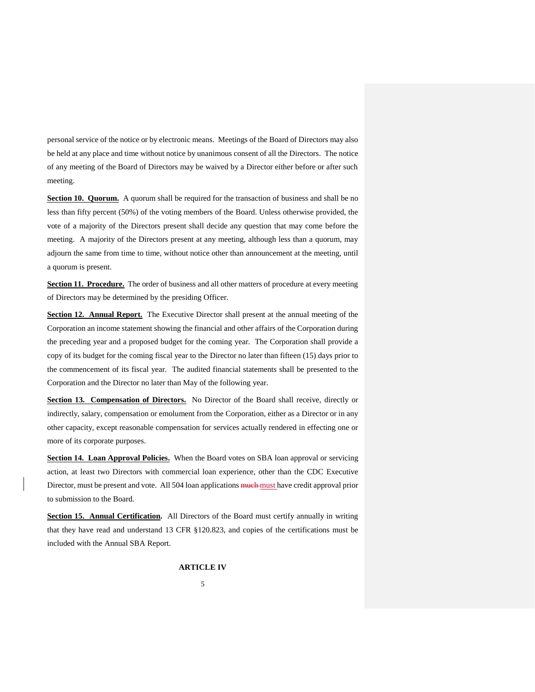personal service of the notice or by electronic means. Meetings of the Board of Directors may also be held at any place and time without notice by unanimous consent of all the Directors. The notice of any meeting of the Board of Directors may be waived by a Director either before or after such meeting.

**Section 10. Quorum.** A quorum shall be required for the transaction of business and shall be no less than fifty percent (50%) of the voting members of the Board. Unless otherwise provided, the vote of a majority of the Directors present shall decide any question that may come before the meeting. A majority of the Directors present at any meeting, although less than a quorum, may adjourn the same from time to time, without notice other than announcement at the meeting, until a quorum is present.

**Section 11. Procedure.** The order of business and all other matters of procedure at every meeting of Directors may be determined by the presiding Officer.

**Section 12. Annual Report.** The Executive Director shall present at the annual meeting of the Corporation an income statement showing the financial and other affairs of the Corporation during the preceding year and a proposed budget for the coming year. The Corporation shall provide a copy of its budget for the coming fiscal year to the Director no later than fifteen (15) days prior to the commencement of its fiscal year. The audited financial statements shall be presented to the Corporation and the Director no later than May of the following year.

**Section 13. Compensation of Directors.** No Director of the Board shall receive, directly or indirectly, salary, compensation or emolument from the Corporation, either as a Director or in any other capacity, except reasonable compensation for services actually rendered in effecting one or more of its corporate purposes.

**Section 14. Loan Approval Policies.** When the Board votes on SBA loan approval or servicing action, at least two Directors with commercial loan experience, other than the CDC Executive Director, must be present and vote. All 504 loan applications much must have credit approval prior to submission to the Board.

**Section 15. Annual Certification.** All Directors of the Board must certify annually in writing that they have read and understand 13 CFR §120.823, and copies of the certifications must be included with the Annual SBA Report.

**ARTICLE IV**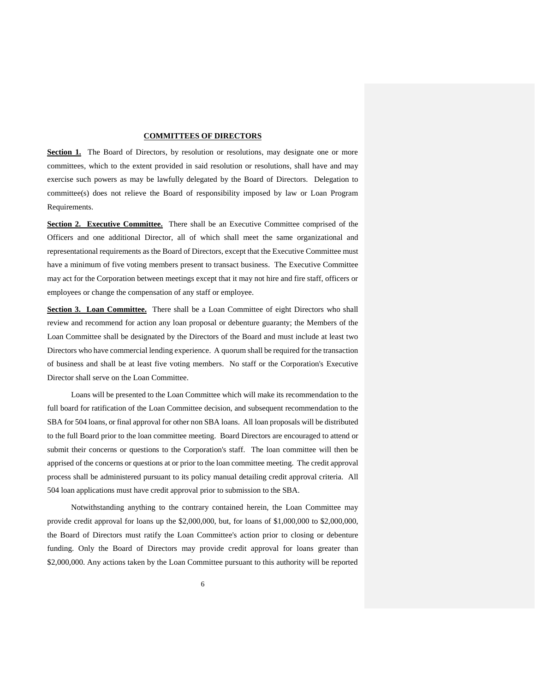#### **COMMITTEES OF DIRECTORS**

**Section 1.** The Board of Directors, by resolution or resolutions, may designate one or more committees, which to the extent provided in said resolution or resolutions, shall have and may exercise such powers as may be lawfully delegated by the Board of Directors. Delegation to committee(s) does not relieve the Board of responsibility imposed by law or Loan Program Requirements.

**Section 2. Executive Committee.** There shall be an Executive Committee comprised of the Officers and one additional Director, all of which shall meet the same organizational and representational requirements as the Board of Directors, except that the Executive Committee must have a minimum of five voting members present to transact business. The Executive Committee may act for the Corporation between meetings except that it may not hire and fire staff, officers or employees or change the compensation of any staff or employee.

Section 3. Loan Committee. There shall be a Loan Committee of eight Directors who shall review and recommend for action any loan proposal or debenture guaranty; the Members of the Loan Committee shall be designated by the Directors of the Board and must include at least two Directors who have commercial lending experience. A quorum shall be required for the transaction of business and shall be at least five voting members. No staff or the Corporation's Executive Director shall serve on the Loan Committee.

Loans will be presented to the Loan Committee which will make its recommendation to the full board for ratification of the Loan Committee decision, and subsequent recommendation to the SBA for 504 loans, or final approval for other non SBA loans. All loan proposals will be distributed to the full Board prior to the loan committee meeting. Board Directors are encouraged to attend or submit their concerns or questions to the Corporation's staff. The loan committee will then be apprised of the concerns or questions at or prior to the loan committee meeting. The credit approval process shall be administered pursuant to its policy manual detailing credit approval criteria. All 504 loan applications must have credit approval prior to submission to the SBA.

Notwithstanding anything to the contrary contained herein, the Loan Committee may provide credit approval for loans up the \$2,000,000, but, for loans of \$1,000,000 to \$2,000,000, the Board of Directors must ratify the Loan Committee's action prior to closing or debenture funding. Only the Board of Directors may provide credit approval for loans greater than \$2,000,000. Any actions taken by the Loan Committee pursuant to this authority will be reported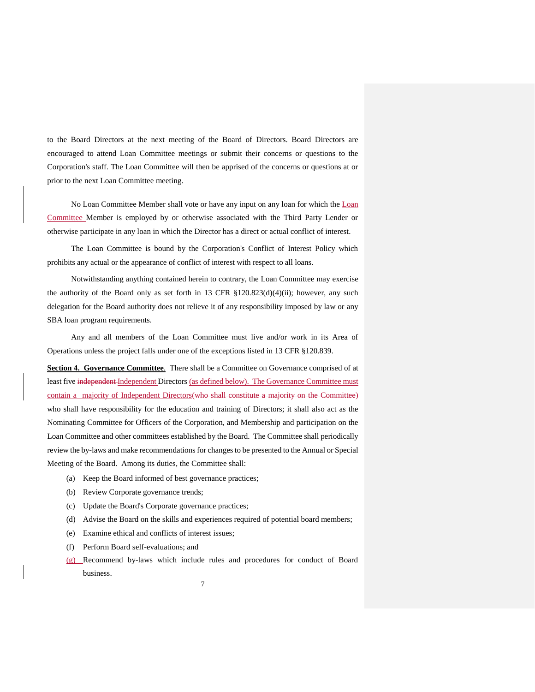to the Board Directors at the next meeting of the Board of Directors. Board Directors are encouraged to attend Loan Committee meetings or submit their concerns or questions to the Corporation's staff. The Loan Committee will then be apprised of the concerns or questions at or prior to the next Loan Committee meeting.

No Loan Committee Member shall vote or have any input on any loan for which the Loan Committee Member is employed by or otherwise associated with the Third Party Lender or otherwise participate in any loan in which the Director has a direct or actual conflict of interest.

The Loan Committee is bound by the Corporation's Conflict of Interest Policy which prohibits any actual or the appearance of conflict of interest with respect to all loans.

Notwithstanding anything contained herein to contrary, the Loan Committee may exercise the authority of the Board only as set forth in 13 CFR  $$120.823(d)(4)(ii)$ ; however, any such delegation for the Board authority does not relieve it of any responsibility imposed by law or any SBA loan program requirements.

Any and all members of the Loan Committee must live and/or work in its Area of Operations unless the project falls under one of the exceptions listed in 13 CFR §120.839.

**Section 4. Governance Committee**. There shall be a Committee on Governance comprised of at least five independent Independent Directors (as defined below). The Governance Committee must contain a majority of Independent Directors (who shall constitute a majority on the Committee) who shall have responsibility for the education and training of Directors; it shall also act as the Nominating Committee for Officers of the Corporation, and Membership and participation on the Loan Committee and other committees established by the Board. The Committee shall periodically review the by-laws and make recommendations for changes to be presented to the Annual or Special Meeting of the Board. Among its duties, the Committee shall:

- (a) Keep the Board informed of best governance practices;
- (b) Review Corporate governance trends;
- (c) Update the Board's Corporate governance practices;
- (d) Advise the Board on the skills and experiences required of potential board members;
- (e) Examine ethical and conflicts of interest issues;
- (f) Perform Board self-evaluations; and
- (g) Recommend by-laws which include rules and procedures for conduct of Board business.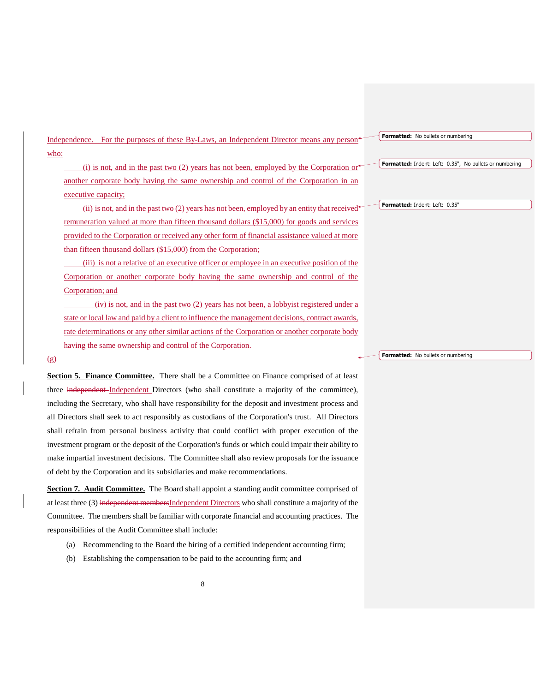Independence. For the purposes of these By-Laws, an Independent Director means any person who:

(i) is not, and in the past two  $(2)$  years has not been, employed by the Corporation or another corporate body having the same ownership and control of the Corporation in an executive capacity;

(ii) is not, and in the past two  $(2)$  years has not been, employed by an entity that received remuneration valued at more than fifteen thousand dollars (\$15,000) for goods and services provided to the Corporation or received any other form of financial assistance valued at more than fifteen thousand dollars (\$15,000) from the Corporation;

(iii) is not a relative of an executive officer or employee in an executive position of the Corporation or another corporate body having the same ownership and control of the Corporation; and

(iv) is not, and in the past two (2) years has not been, a lobbyist registered under a state or local law and paid by a client to influence the management decisions, contract awards, rate determinations or any other similar actions of the Corporation or another corporate body having the same ownership and control of the Corporation.

#### $\left( \n\mathbf{g} \right)$

**Section 5. Finance Committee.** There shall be a Committee on Finance comprised of at least three independent Independent Directors (who shall constitute a majority of the committee), including the Secretary, who shall have responsibility for the deposit and investment process and all Directors shall seek to act responsibly as custodians of the Corporation's trust. All Directors shall refrain from personal business activity that could conflict with proper execution of the investment program or the deposit of the Corporation's funds or which could impair their ability to make impartial investment decisions. The Committee shall also review proposals for the issuance of debt by the Corporation and its subsidiaries and make recommendations.

**Section 7. Audit Committee.** The Board shall appoint a standing audit committee comprised of at least three (3) independent membersIndependent Directors who shall constitute a majority of the Committee. The members shall be familiar with corporate financial and accounting practices. The responsibilities of the Audit Committee shall include:

- (a) Recommending to the Board the hiring of a certified independent accounting firm;
- (b) Establishing the compensation to be paid to the accounting firm; and

**Formatted:** No bullets or numbering

#### **Formatted:** Indent: Left: 0.35", No bullets or numbering

**Formatted:** Indent: Left: 0.35"

**Formatted:** No bullets or numbering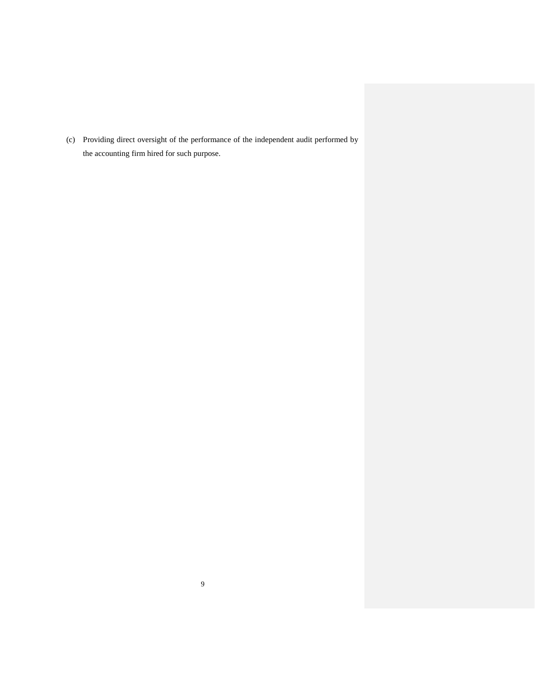(c) Providing direct oversight of the performance of the independent audit performed by the accounting firm hired for such purpose.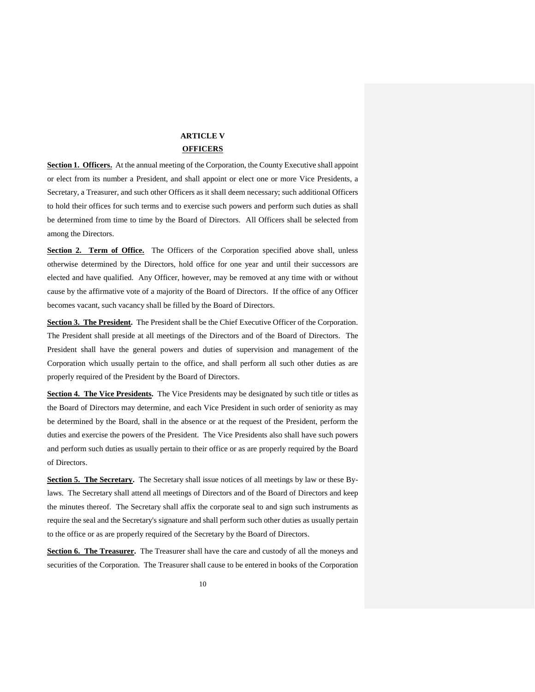## **ARTICLE V OFFICERS**

**Section 1. Officers.** At the annual meeting of the Corporation, the County Executive shall appoint or elect from its number a President, and shall appoint or elect one or more Vice Presidents, a Secretary, a Treasurer, and such other Officers as it shall deem necessary; such additional Officers to hold their offices for such terms and to exercise such powers and perform such duties as shall be determined from time to time by the Board of Directors. All Officers shall be selected from among the Directors.

**Section 2. Term of Office.** The Officers of the Corporation specified above shall, unless otherwise determined by the Directors, hold office for one year and until their successors are elected and have qualified. Any Officer, however, may be removed at any time with or without cause by the affirmative vote of a majority of the Board of Directors. If the office of any Officer becomes vacant, such vacancy shall be filled by the Board of Directors.

**Section 3. The President.** The President shall be the Chief Executive Officer of the Corporation. The President shall preside at all meetings of the Directors and of the Board of Directors. The President shall have the general powers and duties of supervision and management of the Corporation which usually pertain to the office, and shall perform all such other duties as are properly required of the President by the Board of Directors.

**Section 4. The Vice Presidents.** The Vice Presidents may be designated by such title or titles as the Board of Directors may determine, and each Vice President in such order of seniority as may be determined by the Board, shall in the absence or at the request of the President, perform the duties and exercise the powers of the President. The Vice Presidents also shall have such powers and perform such duties as usually pertain to their office or as are properly required by the Board of Directors.

**Section 5. The Secretary.** The Secretary shall issue notices of all meetings by law or these Bylaws. The Secretary shall attend all meetings of Directors and of the Board of Directors and keep the minutes thereof. The Secretary shall affix the corporate seal to and sign such instruments as require the seal and the Secretary's signature and shall perform such other duties as usually pertain to the office or as are properly required of the Secretary by the Board of Directors.

**Section 6. The Treasurer.** The Treasurer shall have the care and custody of all the moneys and securities of the Corporation. The Treasurer shall cause to be entered in books of the Corporation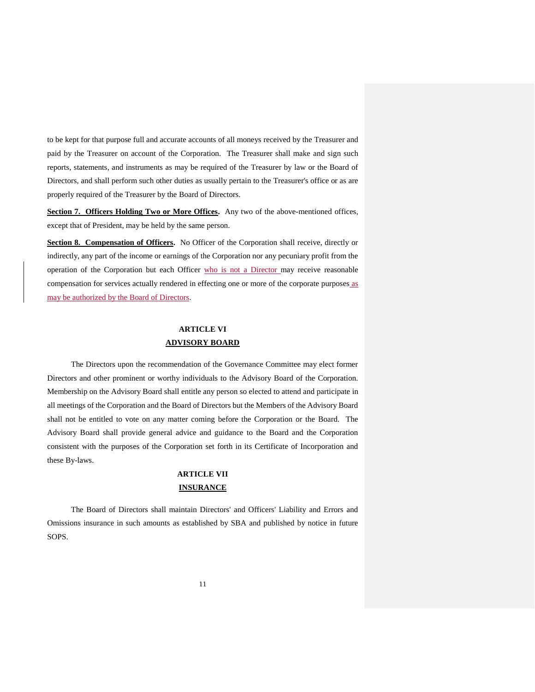to be kept for that purpose full and accurate accounts of all moneys received by the Treasurer and paid by the Treasurer on account of the Corporation. The Treasurer shall make and sign such reports, statements, and instruments as may be required of the Treasurer by law or the Board of Directors, and shall perform such other duties as usually pertain to the Treasurer's office or as are properly required of the Treasurer by the Board of Directors.

**Section 7. Officers Holding Two or More Offices.** Any two of the above-mentioned offices, except that of President, may be held by the same person.

**Section 8. Compensation of Officers.** No Officer of the Corporation shall receive, directly or indirectly, any part of the income or earnings of the Corporation nor any pecuniary profit from the operation of the Corporation but each Officer who is not a Director may receive reasonable compensation for services actually rendered in effecting one or more of the corporate purposes as may be authorized by the Board of Directors.

## **ARTICLE VI ADVISORY BOARD**

The Directors upon the recommendation of the Governance Committee may elect former Directors and other prominent or worthy individuals to the Advisory Board of the Corporation. Membership on the Advisory Board shall entitle any person so elected to attend and participate in all meetings of the Corporation and the Board of Directors but the Members of the Advisory Board shall not be entitled to vote on any matter coming before the Corporation or the Board. The Advisory Board shall provide general advice and guidance to the Board and the Corporation consistent with the purposes of the Corporation set forth in its Certificate of Incorporation and these By-laws.

## **ARTICLE VII INSURANCE**

The Board of Directors shall maintain Directors' and Officers' Liability and Errors and Omissions insurance in such amounts as established by SBA and published by notice in future SOPS.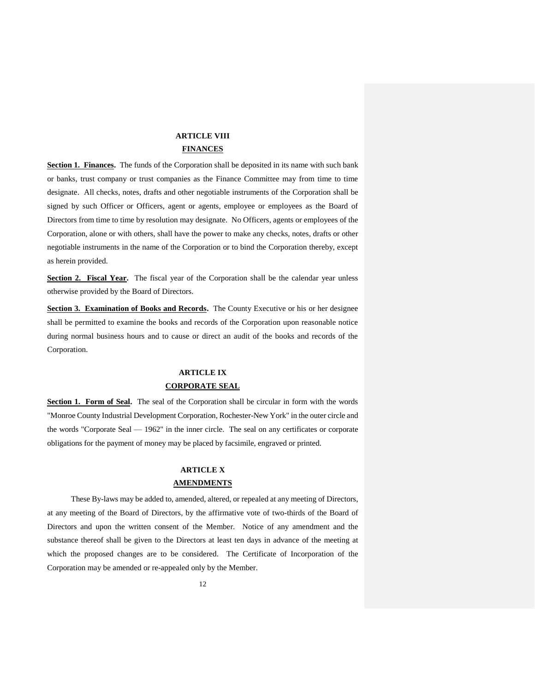## **ARTICLE VIII FINANCES**

**Section 1. Finances.** The funds of the Corporation shall be deposited in its name with such bank or banks, trust company or trust companies as the Finance Committee may from time to time designate. All checks, notes, drafts and other negotiable instruments of the Corporation shall be signed by such Officer or Officers, agent or agents, employee or employees as the Board of Directors from time to time by resolution may designate. No Officers, agents or employees of the Corporation, alone or with others, shall have the power to make any checks, notes, drafts or other negotiable instruments in the name of the Corporation or to bind the Corporation thereby, except as herein provided.

Section 2. Fiscal Year. The fiscal year of the Corporation shall be the calendar year unless otherwise provided by the Board of Directors.

**Section 3. Examination of Books and Records.** The County Executive or his or her designee shall be permitted to examine the books and records of the Corporation upon reasonable notice during normal business hours and to cause or direct an audit of the books and records of the Corporation.

## **ARTICLE IX CORPORATE SEAL**

Section 1. Form of Seal. The seal of the Corporation shall be circular in form with the words "Monroe County Industrial Development Corporation, Rochester-New York" in the outer circle and the words "Corporate Seal — 1962" in the inner circle. The seal on any certificates or corporate obligations for the payment of money may be placed by facsimile, engraved or printed.

## **ARTICLE X AMENDMENTS**

These By-laws may be added to, amended, altered, or repealed at any meeting of Directors, at any meeting of the Board of Directors, by the affirmative vote of two-thirds of the Board of Directors and upon the written consent of the Member. Notice of any amendment and the substance thereof shall be given to the Directors at least ten days in advance of the meeting at which the proposed changes are to be considered. The Certificate of Incorporation of the Corporation may be amended or re-appealed only by the Member.